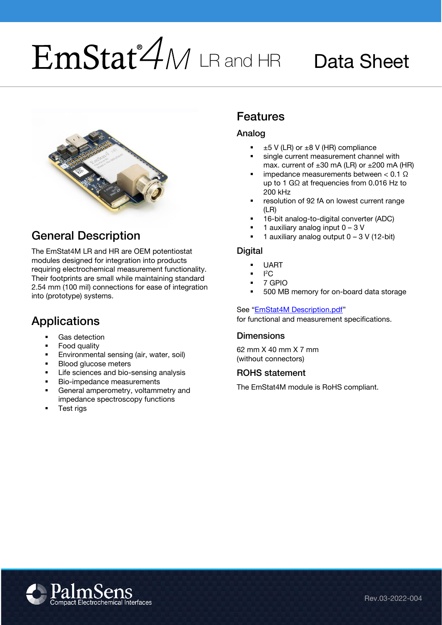# $EmStat^2$ M LR and HR Data Sheet



## <span id="page-0-0"></span>General Description

The EmStat4M LR and HR are OEM potentiostat modules designed for integration into products requiring electrochemical measurement functionality. Their footprints are small while maintaining standard 2.54 mm (100 mil) connections for ease of integration into (prototype) systems.

#### <span id="page-0-1"></span>Applications

- Gas detection
- Food quality<br>■ Fnvironment
- **Environmental sensing (air, water, soil)**<br>**ELIAN ducase meters**
- **Blood glucose meters**
- **EXEC** Life sciences and bio-sensing analysis
- Bio-impedance measurements
- General amperometry, voltammetry and impedance spectroscopy functions
- <span id="page-0-2"></span>■ Test rigs

## Features

#### <span id="page-0-3"></span>Analog

- $±5$  V (LR) or  $±8$  V (HR) compliance
- single current measurement channel with max. current of  $\pm 30$  mA (LR) or  $\pm 200$  mA (HR)
- impedance measurements between  $<$  0.1 Ω up to 1 GΩ at frequencies from 0.016 Hz to 200 kHz
- resolution of 92 fA on lowest current range (LR)
- 16-bit analog-to-digital converter (ADC)
- 1 auxiliary analog input  $0 3$  V
- 1 auxiliary analog output  $0 3$  V (12-bit)

#### <span id="page-0-4"></span>**Digital**

- **UART**
- $\blacksquare$   $\blacksquare$   $\blacksquare$
- 7 GPIO
- 500 MB memory for on-board data storage

#### See "[EmStat4M Description.pdf](https://www.palmsens.com/knowledgebase-article/emstat4m-description/)"

for functional and measurement specifications.

#### <span id="page-0-5"></span>**Dimensions**

62 mm X 40 mm X 7 mm (without connectors)

#### <span id="page-0-6"></span>ROHS statement

The EmStat4M module is RoHS compliant.

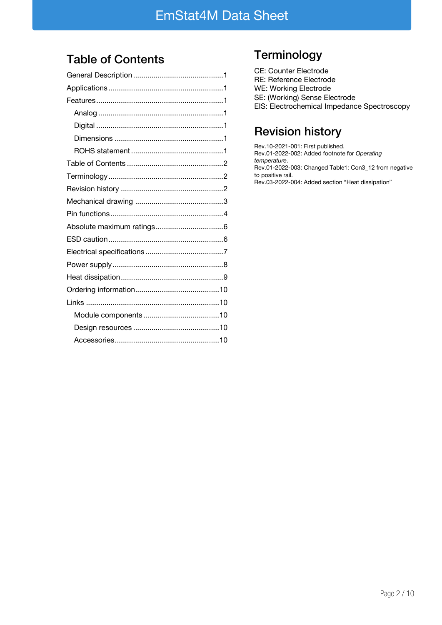## <span id="page-1-0"></span>Table of Contents

## <span id="page-1-1"></span>**Terminology**

| CE: Counter Electrode                       |
|---------------------------------------------|
| RE: Reference Electrode                     |
| WE: Working Electrode                       |
| SE: (Working) Sense Electrode               |
| EIS: Electrochemical Impedance Spectroscopy |
|                                             |

## <span id="page-1-2"></span>Revision history

Rev.10-2021-001: First published. Rev.01-2022-002: Added footnote for Operating temperature. Rev.01-2022-003: Changed Table1: Con3\_12 from negative to positive rail. Rev.03-2022-004: Added section "Heat dissipation"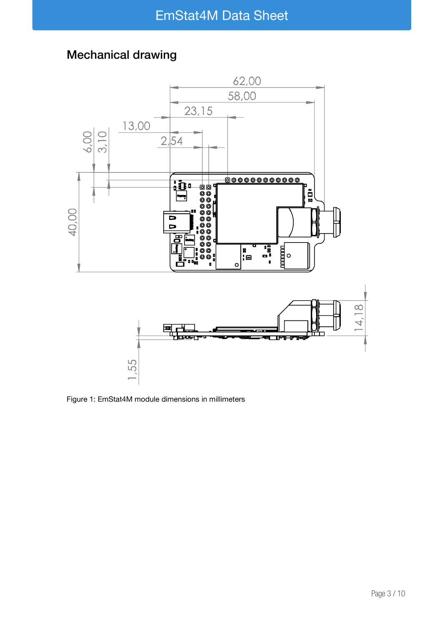## <span id="page-2-0"></span>Mechanical drawing



Figure 1: EmStat4M module dimensions in millimeters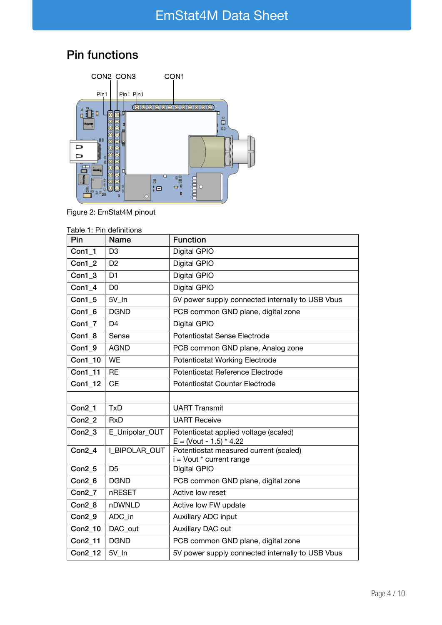## <span id="page-3-0"></span>Pin functions



Figure 2: EmStat4M pinout

| Pin               | <b>Name</b>    | <b>Function</b>                                                    |  |  |
|-------------------|----------------|--------------------------------------------------------------------|--|--|
| $Con1_1$          | D <sub>3</sub> | Digital GPIO                                                       |  |  |
| Con1 2            | D <sub>2</sub> | Digital GPIO                                                       |  |  |
| Con1 3            | D <sub>1</sub> | Digital GPIO                                                       |  |  |
| $Con1_4$          | D <sub>0</sub> | Digital GPIO                                                       |  |  |
| Con1 5            | 5V In          | 5V power supply connected internally to USB Vbus                   |  |  |
| $Con1_6$          | <b>DGND</b>    | PCB common GND plane, digital zone                                 |  |  |
| $Con1_7$          | D <sub>4</sub> | Digital GPIO                                                       |  |  |
| Con1 8            | Sense          | Potentiostat Sense Electrode                                       |  |  |
| Con1 9            | <b>AGND</b>    | PCB common GND plane, Analog zone                                  |  |  |
| <b>Con1 10</b>    | <b>WE</b>      | Potentiostat Working Electrode                                     |  |  |
| <b>Con1 11</b>    | <b>RE</b>      | Potentiostat Reference Electrode                                   |  |  |
| Con1_12           | <b>CE</b>      | Potentiostat Counter Electrode                                     |  |  |
|                   |                |                                                                    |  |  |
| $Con2_1$          | <b>TxD</b>     | <b>UART Transmit</b>                                               |  |  |
| Con2 <sub>2</sub> | <b>RxD</b>     | <b>UART Receive</b>                                                |  |  |
| Con2 3            | E_Unipolar_OUT | Potentiostat applied voltage (scaled)<br>$E = (Vout - 1.5) * 4.22$ |  |  |
| Con2 4            | I BIPOLAR OUT  | Potentiostat measured current (scaled)<br>i = Vout * current range |  |  |
| $Con2_5$          | D <sub>5</sub> | Digital GPIO                                                       |  |  |
| Con2 6            | <b>DGND</b>    | PCB common GND plane, digital zone                                 |  |  |
| Con2 7            | nRESET         | Active low reset                                                   |  |  |
| Con2 8            | nDWNLD         | Active low FW update                                               |  |  |
| $Con2_9$          | ADC_in         | Auxiliary ADC input                                                |  |  |
| <b>Con2 10</b>    | DAC out        | Auxiliary DAC out                                                  |  |  |
| Con2_11           | <b>DGND</b>    | PCB common GND plane, digital zone                                 |  |  |
| <b>Con2 12</b>    | 5V In          | 5V power supply connected internally to USB Vbus                   |  |  |
|                   |                |                                                                    |  |  |

| Table 1: Pin definitions |  |  |
|--------------------------|--|--|
|                          |  |  |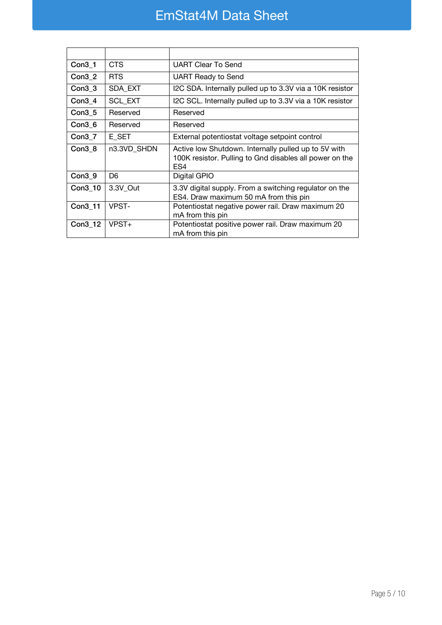## EmStat4M Data Sheet

| $Con3_1$           | <b>CTS</b>     | <b>UART Clear To Send</b>                                                                                                          |
|--------------------|----------------|------------------------------------------------------------------------------------------------------------------------------------|
| Con <sub>3</sub> 2 | <b>RTS</b>     | <b>UART Ready to Send</b>                                                                                                          |
| $Con3_3$           | SDA_EXT        | I2C SDA. Internally pulled up to 3.3V via a 10K resistor                                                                           |
| Con3 4             | <b>SCL EXT</b> | I2C SCL. Internally pulled up to 3.3V via a 10K resistor                                                                           |
| $Con3_5$           | Reserved       | Reserved                                                                                                                           |
| $Con3_6$           | Reserved       | Reserved                                                                                                                           |
| $Con3_7$           | E SET          | External potentiostat voltage setpoint control                                                                                     |
| Con3 8             | n3.3VD_SHDN    | Active low Shutdown. Internally pulled up to 5V with<br>100K resistor. Pulling to Gnd disables all power on the<br>ES <sub>4</sub> |
| Con3 9             | D6             | Digital GPIO                                                                                                                       |
| Con3_10            | 3.3V Out       | 3.3V digital supply. From a switching regulator on the<br>ES4. Draw maximum 50 mA from this pin                                    |
| Con3 11            | VPST-          | Potentiostat negative power rail. Draw maximum 20<br>mA from this pin                                                              |
| Con3_12            | $V$ PST $+$    | Potentiostat positive power rail. Draw maximum 20<br>mA from this pin                                                              |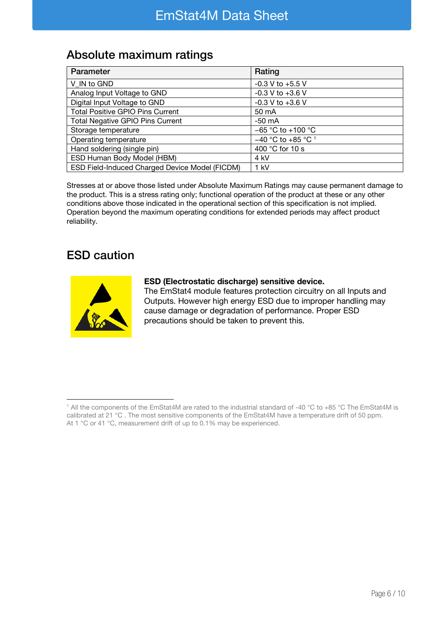#### <span id="page-5-0"></span>Absolute maximum ratings

| Parameter                                      | Rating                          |
|------------------------------------------------|---------------------------------|
| V IN to GND                                    | $-0.3$ V to $+5.5$ V            |
| Analog Input Voltage to GND                    | $-0.3$ V to $+3.6$ V            |
| Digital Input Voltage to GND                   | $-0.3$ V to $+3.6$ V            |
| <b>Total Positive GPIO Pins Current</b>        | 50 mA                           |
| <b>Total Negative GPIO Pins Current</b>        | $-50$ mA                        |
| Storage temperature                            | $-65$ °C to +100 °C             |
| Operating temperature                          | $-40$ °C to +85 °C <sup>1</sup> |
| Hand soldering (single pin)                    | 400 °C for 10 s                 |
| ESD Human Body Model (HBM)                     | 4 kV                            |
| ESD Field-Induced Charged Device Model (FICDM) | $1$ kV                          |

Stresses at or above those listed under Absolute Maximum Ratings may cause permanent damage to the product. This is a stress rating only; functional operation of the product at these or any other conditions above those indicated in the operational section of this specification is not implied. Operation beyond the maximum operating conditions for extended periods may affect product reliability.

#### <span id="page-5-1"></span>ESD caution



#### ESD (Electrostatic discharge) sensitive device.

The EmStat4 module features protection circuitry on all Inputs and Outputs. However high energy ESD due to improper handling may cause damage or degradation of performance. Proper ESD precautions should be taken to prevent this.

<sup>1</sup> All the components of the EmStat4M are rated to the industrial standard of -40 °C to +85 °C The EmStat4M is calibrated at 21 °C . The most sensitive components of the EmStat4M have a temperature drift of 50 ppm. At 1 °C or 41 °C, measurement drift of up to 0.1% may be experienced.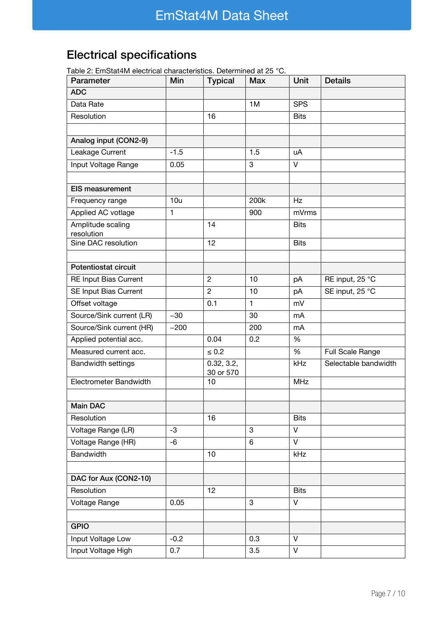## <span id="page-6-0"></span>Electrical specifications

Table 2: EmStat4M electrical characteristics. Determined at 25 °C.

| able 2. Emblachin clocation original actoristics. Determined at 20<br>Parameter | Min    | <b>Typical</b>          | $\ddotsc$<br>Max | Unit        | <b>Details</b>       |
|---------------------------------------------------------------------------------|--------|-------------------------|------------------|-------------|----------------------|
| <b>ADC</b>                                                                      |        |                         |                  |             |                      |
| Data Rate                                                                       |        |                         | 1M               | <b>SPS</b>  |                      |
| Resolution                                                                      |        | 16                      |                  | <b>Bits</b> |                      |
|                                                                                 |        |                         |                  |             |                      |
| Analog input (CON2-9)                                                           |        |                         |                  |             |                      |
| Leakage Current                                                                 | $-1.5$ |                         | 1.5              | uA          |                      |
| Input Voltage Range                                                             | 0.05   |                         | 3                | $\vee$      |                      |
|                                                                                 |        |                         |                  |             |                      |
| <b>EIS measurement</b>                                                          |        |                         |                  |             |                      |
| Frequency range                                                                 | 10u    |                         | 200k             | Hz          |                      |
| Applied AC votlage                                                              | 1      |                         | 900              | mVrms       |                      |
| Amplitude scaling<br>resolution                                                 |        | 14                      |                  | <b>Bits</b> |                      |
| Sine DAC resolution                                                             |        | 12                      |                  | <b>Bits</b> |                      |
|                                                                                 |        |                         |                  |             |                      |
| Potentiostat circuit                                                            |        |                         |                  |             |                      |
| RE Input Bias Current                                                           |        | $\overline{c}$          | 10               | рA          | RE input, 25 °C      |
| SE Input Bias Current                                                           |        | $\overline{2}$          | 10               | рA          | SE input, 25 °C      |
| Offset voltage                                                                  |        | 0.1                     | $\mathbf{1}$     | mV          |                      |
| Source/Sink current (LR)                                                        | $-30$  |                         | 30               | mA          |                      |
| Source/Sink current (HR)                                                        | $-200$ |                         | 200              | mA          |                      |
| Applied potential acc.                                                          |        | 0.04                    | 0.2              | %           |                      |
| Measured current acc.                                                           |        | $\leq 0.2$              |                  | %           | Full Scale Range     |
| <b>Bandwidth settings</b>                                                       |        | 0.32, 3.2,<br>30 or 570 |                  | kHz         | Selectable bandwidth |
| Electrometer Bandwidth                                                          |        | 10                      |                  | <b>MHz</b>  |                      |
|                                                                                 |        |                         |                  |             |                      |
| <b>Main DAC</b>                                                                 |        |                         |                  |             |                      |
| Resolution                                                                      |        | 16                      |                  | <b>Bits</b> |                      |
| Voltage Range (LR)                                                              | -3     |                         | $\mathbf{3}$     | V           |                      |
| Voltage Range (HR)                                                              | -6     |                         | 6                | $\vee$      |                      |
| Bandwidth                                                                       |        | 10                      |                  | kHz         |                      |
|                                                                                 |        |                         |                  |             |                      |
| DAC for Aux (CON2-10)                                                           |        |                         |                  |             |                      |
| Resolution                                                                      |        | 12                      |                  | <b>Bits</b> |                      |
| Voltage Range                                                                   | 0.05   |                         | 3                | V           |                      |
|                                                                                 |        |                         |                  |             |                      |
| <b>GPIO</b>                                                                     |        |                         |                  |             |                      |
| Input Voltage Low                                                               | $-0.2$ |                         | 0.3              | $\vee$      |                      |
| Input Voltage High                                                              | 0.7    |                         | 3.5              | V           |                      |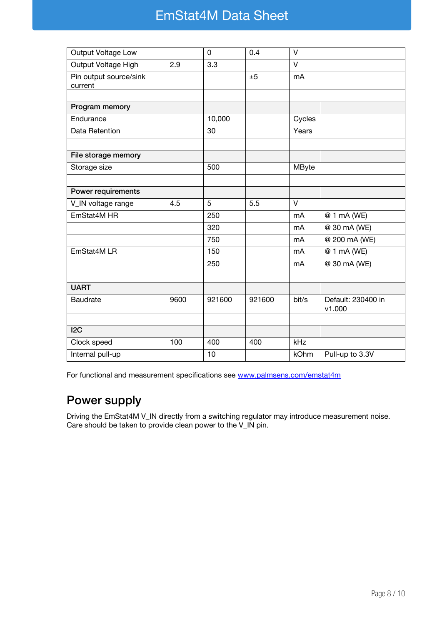## EmStat4M Data Sheet

| Output Voltage Low                |      | 0      | 0.4    | V      |                                |
|-----------------------------------|------|--------|--------|--------|--------------------------------|
| Output Voltage High               | 2.9  | 3.3    |        | $\vee$ |                                |
| Pin output source/sink<br>current |      |        | ±5     | mA     |                                |
|                                   |      |        |        |        |                                |
| Program memory                    |      |        |        |        |                                |
| Endurance                         |      | 10,000 |        | Cycles |                                |
| Data Retention                    |      | 30     |        | Years  |                                |
|                                   |      |        |        |        |                                |
| File storage memory               |      |        |        |        |                                |
| Storage size                      |      | 500    |        | MByte  |                                |
|                                   |      |        |        |        |                                |
| Power requirements                |      |        |        |        |                                |
| V_IN voltage range                | 4.5  | 5      | 5.5    | $\vee$ |                                |
| EmStat4M HR                       |      | 250    |        | mA     | @ 1 mA (WE)                    |
|                                   |      | 320    |        | mA     | $\overline{\omega}$ 30 mA (WE) |
|                                   |      | 750    |        | mA     | @ 200 mA (WE)                  |
| EmStat4M LR                       |      | 150    |        | mA     | @ 1 mA (WE)                    |
|                                   |      | 250    |        | mA     | @ 30 mA (WE)                   |
|                                   |      |        |        |        |                                |
| <b>UART</b>                       |      |        |        |        |                                |
| <b>Baudrate</b>                   | 9600 | 921600 | 921600 | bit/s  | Default: 230400 in<br>v1.000   |
|                                   |      |        |        |        |                                |
| 12C                               |      |        |        |        |                                |
| Clock speed                       | 100  | 400    | 400    | kHz    |                                |
| Internal pull-up                  |      | 10     |        | kOhm   | Pull-up to 3.3V                |

For functional and measurement specifications see [www.palmsens.com/emstat4m](https://www.palmsens.com/emstat4m)

#### <span id="page-7-0"></span>Power supply

Driving the EmStat4M V\_IN directly from a switching regulator may introduce measurement noise. Care should be taken to provide clean power to the V\_IN pin.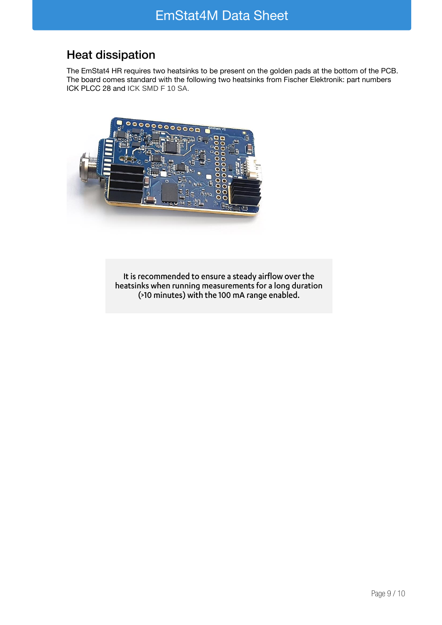### <span id="page-8-0"></span>Heat dissipation

The EmStat4 HR requires two heatsinks to be present on the golden pads at the bottom of the PCB. The board comes standard with the following two heatsinks from Fischer Elektronik: part numbers ICK PLCC 28 and ICK SMD F 10 SA.



It is recommended to ensure a steady airflow over the<br>heatsinks when running measurements for a long duration (>10 minutes) with the 100 mA range enabled.